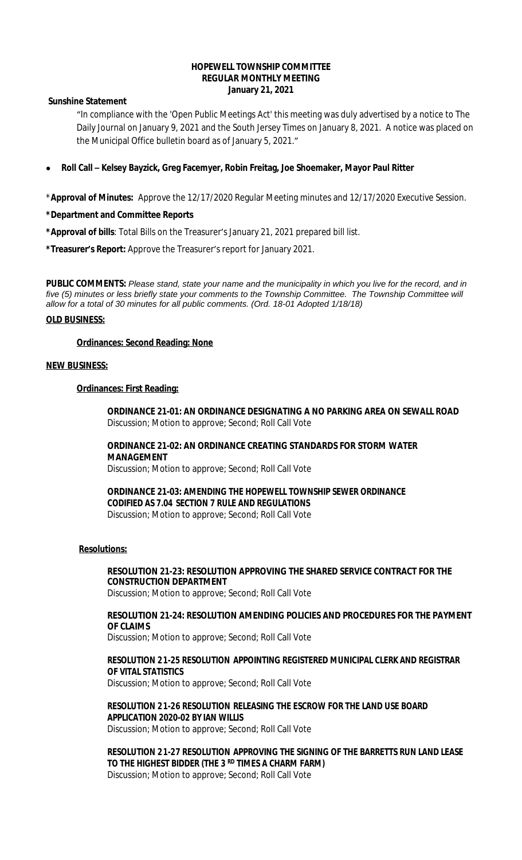### **HOPEWELL TOWNSHIP COMMITTEE REGULAR MONTHLY MEETING January 21, 2021**

**Sunshine Statement**

"In compliance with the 'Open Public Meetings Act' this meeting was duly advertised by a notice to The Daily Journal on January 9, 2021 and the South Jersey Times on January 8, 2021. A notice was placed on the Municipal Office bulletin board as of January 5, 2021."

**Roll Call – Kelsey Bayzick, Greg Facemyer, Robin Freitag, Joe Shoemaker, Mayor Paul Ritter**

\***Approval of Minutes:** Approve the 12/17/2020 Regular Meeting minutes and 12/17/2020 Executive Session.

### **\*Department and Committee Reports**

**\*Approval of bills**: Total Bills on the Treasurer's January 21, 2021 prepared bill list.

**\*Treasurer's Report:** Approve the Treasurer's report for January 2021.

**PUBLIC COMMENTS:** *Please stand, state your name and the municipality in which you live for the record, and in five (5) minutes or less briefly state your comments to the Township Committee. The Township Committee will allow for a total of 30 minutes for all public comments. (Ord. 18-01 Adopted 1/18/18)*

### **OLD BUSINESS:**

#### **Ordinances: Second Reading: None**

#### **NEW BUSINESS:**

### **Ordinances: First Reading:**

**ORDINANCE 21-01: AN ORDINANCE DESIGNATING A NO PARKING AREA ON SEWALL ROAD** Discussion; Motion to approve; Second; Roll Call Vote

## **ORDINANCE 21-02: AN ORDINANCE CREATING STANDARDS FOR STORM WATER MANAGEMENT**

Discussion; Motion to approve; Second; Roll Call Vote

**ORDINANCE 21-03: AMENDING THE HOPEWELL TOWNSHIP SEWER ORDINANCE CODIFIED AS 7.04 SECTION 7 RULE AND REGULATIONS** Discussion; Motion to approve; Second; Roll Call Vote

## **Resolutions:**

# **RESOLUTION 21-23: RESOLUTION APPROVING THE SHARED SERVICE CONTRACT FOR THE CONSTRUCTION DEPARTMENT**

Discussion; Motion to approve; Second; Roll Call Vote

### **RESOLUTION 21-24: RESOLUTION AMENDING POLICIES AND PROCEDURES FOR THE PAYMENT OF CLAIMS**

Discussion; Motion to approve; Second; Roll Call Vote

## **RESOLUTION 21-25 RESOLUTION APPOINTING REGISTERED MUNICIPAL CLERK AND REGISTRAR OF VITAL STATISTICS**

Discussion; Motion to approve; Second; Roll Call Vote

### **RESOLUTION 21-26 RESOLUTION RELEASING THE ESCROW FOR THE LAND USE BOARD APPLICATION 2020-02 BY IAN WILLIS**

Discussion; Motion to approve; Second; Roll Call Vote

**RESOLUTION 21-27 RESOLUTION APPROVING THE SIGNING OF THE BARRETTS RUN LAND LEASE TO THE HIGHEST BIDDER (THE 3 RD TIMES A CHARM FARM)**  Discussion; Motion to approve; Second; Roll Call Vote